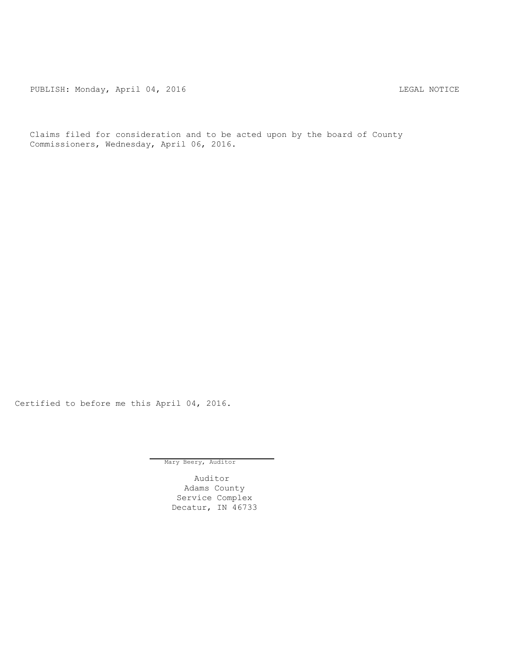PUBLISH: Monday, April 04, 2016 CHANGER AND THE MOTICE

Claims filed for consideration and to be acted upon by the board of County Commissioners, Wednesday, April 06, 2016.

Certified to before me this April 04, 2016.

Mary Beery, Auditor

Auditor Adams County Service Complex Decatur, IN 46733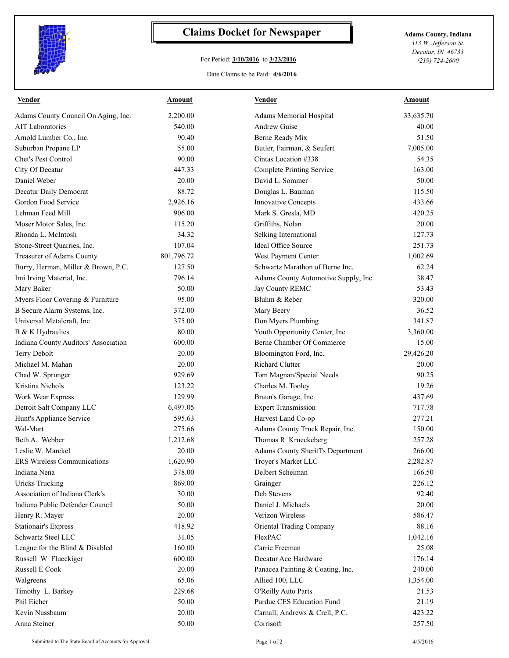

## **Claims Docket for Newspaper Adams County, Indiana**

## For Period: **3/10/2016** to **3/23/2016**

*313 W. Jefferson St. Decatur, IN 46733 (219) 724-2600*

Date Claims to be Paid: **4/6/2016**

| <b>Vendor</b>                        | <u>Amount</u> | <b>Vendor</b>                        | <b>Amount</b> |
|--------------------------------------|---------------|--------------------------------------|---------------|
| Adams County Council On Aging, Inc.  | 2,200.00      | Adams Memorial Hospital              | 33,635.70     |
| <b>AIT Laboratories</b>              | 540.00        | <b>Andrew Guise</b>                  | 40.00         |
| Arnold Lumber Co., Inc.              | 90.40         | Berne Ready Mix                      | 51.50         |
| Suburban Propane LP                  | 55.00         | Butler, Fairman, & Seufert           | 7,005.00      |
| Chet's Pest Control                  | 90.00         | Cintas Location #338                 | 54.35         |
| City Of Decatur                      | 447.33        | Complete Printing Service            | 163.00        |
| Daniel Weber                         | 20.00         | David L. Sommer                      | 50.00         |
| Decatur Daily Democrat               | 88.72         | Douglas L. Bauman                    | 115.50        |
| Gordon Food Service                  | 2,926.16      | Innovative Concepts                  | 433.66        |
| Lehman Feed Mill                     | 906.00        | Mark S. Gresla, MD                   | 420.25        |
| Moser Motor Sales, Inc.              | 115.20        | Griffiths, Nolan                     | 20.00         |
| Rhonda L. McIntosh                   | 34.32         | Selking International                | 127.73        |
| Stone-Street Quarries, Inc.          | 107.04        | Ideal Office Source                  | 251.73        |
| Treasurer of Adams County            | 801,796.72    | West Payment Center                  | 1,002.69      |
| Burry, Herman, Miller & Brown, P.C.  | 127.50        | Schwartz Marathon of Berne Inc.      | 62.24         |
| Imi Irving Material, Inc.            | 796.14        | Adams County Automotive Supply, Inc. | 38.47         |
| Mary Baker                           | 50.00         | Jay County REMC                      | 53.43         |
| Myers Floor Covering & Furniture     | 95.00         | Bluhm & Reber                        | 320.00        |
| B Secure Alarm Systems, Inc.         | 372.00        | Mary Beery                           | 36.52         |
| Universal Metalcraft, Inc            | 375.00        | Don Myers Plumbing                   | 341.87        |
| B & K Hydraulics                     | 80.00         | Youth Opportunity Center, Inc        | 3,360.00      |
| Indiana County Auditors' Association | 600.00        | Berne Chamber Of Commerce            | 15.00         |
| Terry Debolt                         | 20.00         | Bloomington Ford, Inc.               | 29,426.20     |
| Michael M. Mahan                     | 20.00         | <b>Richard Clutter</b>               | 20.00         |
| Chad W. Sprunger                     | 929.69        | Tom Magnan/Special Needs             | 90.25         |
| Kristina Nichols                     | 123.22        | Charles M. Tooley                    | 19.26         |
| Work Wear Express                    | 129.99        | Braun's Garage, Inc.                 | 437.69        |
| Detroit Salt Company LLC             | 6,497.05      | <b>Expert Transmission</b>           | 717.78        |
| Hunt's Appliance Service             | 595.63        | Harvest Land Co-op                   | 277.21        |
| Wal-Mart                             | 275.66        | Adams County Truck Repair, Inc.      | 150.00        |
| Beth A. Webber                       | 1,212.68      | Thomas R Krueckeberg                 | 257.28        |
| Leslie W. Marckel                    | 20.00         | Adams County Sheriff's Department    | 266.00        |
| ERS Wireless Communications          | 1,620.90      | Troyer's Market LLC                  | 2,282.87      |
| Indiana Nena                         | 378.00        | Delbert Scheiman                     | 166.50        |
| <b>Uricks Trucking</b>               | 869.00        | Grainger                             | 226.12        |
| Association of Indiana Clerk's       | 30.00         | Deb Stevens                          | 92.40         |
| Indiana Public Defender Council      | 50.00         | Daniel J. Michaels                   | 20.00         |
| Henry R. Mayer                       | 20.00         | Verizon Wireless                     | 586.47        |
| <b>Stationair's Express</b>          | 418.92        | Oriental Trading Company             | 88.16         |
| Schwartz Steel LLC                   | 31.05         | FlexPAC                              | 1,042.16      |
| League for the Blind & Disabled      | 160.00        | Carrie Freeman                       | 25.08         |
| Russell W Flueckiger                 | 600.00        | Decatur Ace Hardware                 | 176.14        |
| Russell E Cook                       | 20.00         | Panacea Painting & Coating, Inc.     |               |
|                                      |               |                                      | 240.00        |
| Walgreens                            | 65.06         | Allied 100, LLC                      | 1,354.00      |
| Timothy L. Barkey                    | 229.68        | O'Reilly Auto Parts                  | 21.53         |
| Phil Eicher                          | 50.00         | Purdue CES Education Fund            | 21.19         |
| Kevin Nussbaum                       | 20.00         | Carnall, Andrews & Crell, P.C.       | 423.22        |
| Anna Steiner                         | 50.00         | Corrisoft                            | 257.50        |